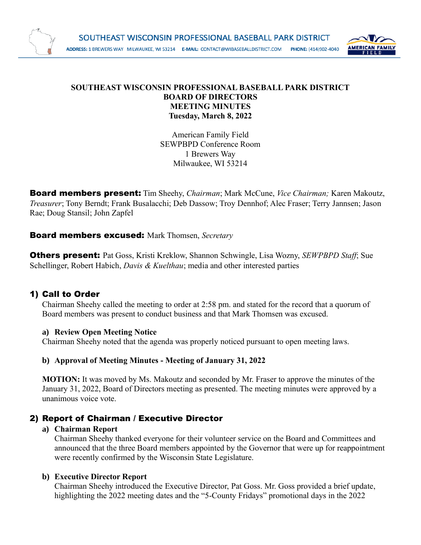

#### **SOUTHEAST WISCONSIN PROFESSIONAL BASEBALL PARK DISTRICT BOARD OF DIRECTORS MEETING MINUTES Tuesday, March 8, 2022**

American Family Field SEWPBPD Conference Room 1 Brewers Way Milwaukee, WI 53214

Board members present: Tim Sheehy, *Chairman*; Mark McCune, *Vice Chairman;* Karen Makoutz, *Treasurer*; Tony Berndt; Frank Busalacchi; Deb Dassow; Troy Dennhof; Alec Fraser; Terry Jannsen; Jason Rae; Doug Stansil; John Zapfel

## Board members excused: Mark Thomsen, *Secretary*

Others present: Pat Goss, Kristi Kreklow, Shannon Schwingle, Lisa Wozny, *SEWPBPD Staff*; Sue Schellinger, Robert Habich, *Davis & Kuelthau*; media and other interested parties

## 1) Call to Order

Chairman Sheehy called the meeting to order at 2:58 pm. and stated for the record that a quorum of Board members was present to conduct business and that Mark Thomsen was excused.

#### **a) Review Open Meeting Notice**

Chairman Sheehy noted that the agenda was properly noticed pursuant to open meeting laws.

#### **b) Approval of Meeting Minutes - Meeting of January 31, 2022**

**MOTION:** It was moved by Ms. Makoutz and seconded by Mr. Fraser to approve the minutes of the January 31, 2022, Board of Directors meeting as presented. The meeting minutes were approved by a unanimous voice vote.

## 2) Report of Chairman / Executive Director

#### **a) Chairman Report**

Chairman Sheehy thanked everyone for their volunteer service on the Board and Committees and announced that the three Board members appointed by the Governor that were up for reappointment were recently confirmed by the Wisconsin State Legislature.

#### **b) Executive Director Report**

Chairman Sheehy introduced the Executive Director, Pat Goss. Mr. Goss provided a brief update, highlighting the 2022 meeting dates and the "5-County Fridays" promotional days in the 2022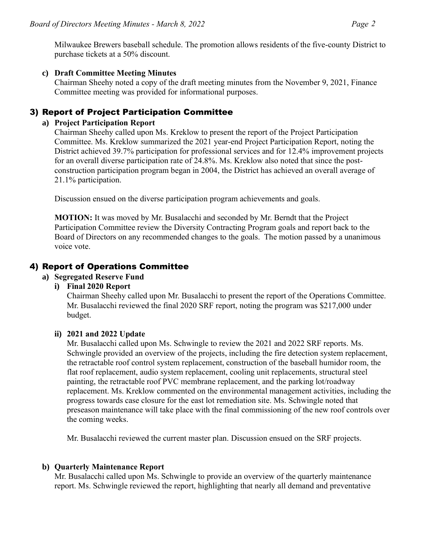#### **c) Draft Committee Meeting Minutes**

Chairman Sheehy noted a copy of the draft meeting minutes from the November 9, 2021, Finance Committee meeting was provided for informational purposes.

## 3) Report of Project Participation Committee

#### **a) Project Participation Report**

Chairman Sheehy called upon Ms. Kreklow to present the report of the Project Participation Committee. Ms. Kreklow summarized the 2021 year-end Project Participation Report, noting the District achieved 39.7% participation for professional services and for 12.4% improvement projects for an overall diverse participation rate of 24.8%. Ms. Kreklow also noted that since the postconstruction participation program began in 2004, the District has achieved an overall average of 21.1% participation.

Discussion ensued on the diverse participation program achievements and goals.

**MOTION:** It was moved by Mr. Busalacchi and seconded by Mr. Berndt that the Project Participation Committee review the Diversity Contracting Program goals and report back to the Board of Directors on any recommended changes to the goals. The motion passed by a unanimous voice vote.

## 4) Report of Operations Committee

#### **a) Segregated Reserve Fund**

## **i) Final 2020 Report**

Chairman Sheehy called upon Mr. Busalacchi to present the report of the Operations Committee. Mr. Busalacchi reviewed the final 2020 SRF report, noting the program was \$217,000 under budget.

## **ii) 2021 and 2022 Update**

Mr. Busalacchi called upon Ms. Schwingle to review the 2021 and 2022 SRF reports. Ms. Schwingle provided an overview of the projects, including the fire detection system replacement, the retractable roof control system replacement, construction of the baseball humidor room, the flat roof replacement, audio system replacement, cooling unit replacements, structural steel painting, the retractable roof PVC membrane replacement, and the parking lot/roadway replacement. Ms. Kreklow commented on the environmental management activities, including the progress towards case closure for the east lot remediation site. Ms. Schwingle noted that preseason maintenance will take place with the final commissioning of the new roof controls over the coming weeks.

Mr. Busalacchi reviewed the current master plan. Discussion ensued on the SRF projects.

#### **b) Quarterly Maintenance Report**

Mr. Busalacchi called upon Ms. Schwingle to provide an overview of the quarterly maintenance report. Ms. Schwingle reviewed the report, highlighting that nearly all demand and preventative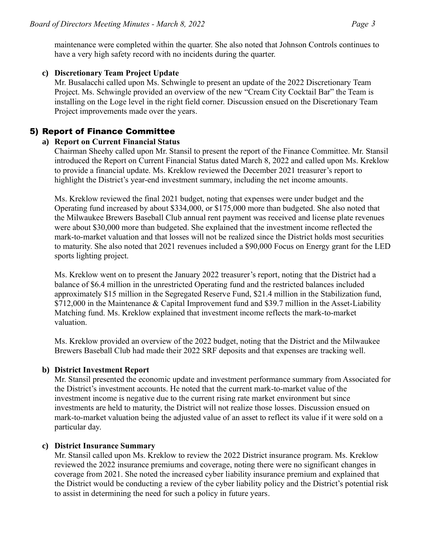maintenance were completed within the quarter. She also noted that Johnson Controls continues to have a very high safety record with no incidents during the quarter.

## **c) Discretionary Team Project Update**

Mr. Busalacchi called upon Ms. Schwingle to present an update of the 2022 Discretionary Team Project. Ms. Schwingle provided an overview of the new "Cream City Cocktail Bar" the Team is installing on the Loge level in the right field corner. Discussion ensued on the Discretionary Team Project improvements made over the years.

# 5) Report of Finance Committee

## **a) Report on Current Financial Status**

Chairman Sheehy called upon Mr. Stansil to present the report of the Finance Committee. Mr. Stansil introduced the Report on Current Financial Status dated March 8, 2022 and called upon Ms. Kreklow to provide a financial update. Ms. Kreklow reviewed the December 2021 treasurer's report to highlight the District's year-end investment summary, including the net income amounts.

Ms. Kreklow reviewed the final 2021 budget, noting that expenses were under budget and the Operating fund increased by about \$334,000, or \$175,000 more than budgeted. She also noted that the Milwaukee Brewers Baseball Club annual rent payment was received and license plate revenues were about \$30,000 more than budgeted. She explained that the investment income reflected the mark-to-market valuation and that losses will not be realized since the District holds most securities to maturity. She also noted that 2021 revenues included a \$90,000 Focus on Energy grant for the LED sports lighting project.

Ms. Kreklow went on to present the January 2022 treasurer's report, noting that the District had a balance of \$6.4 million in the unrestricted Operating fund and the restricted balances included approximately \$15 million in the Segregated Reserve Fund, \$21.4 million in the Stabilization fund, \$712,000 in the Maintenance & Capital Improvement fund and \$39.7 million in the Asset-Liability Matching fund. Ms. Kreklow explained that investment income reflects the mark-to-market valuation.

Ms. Kreklow provided an overview of the 2022 budget, noting that the District and the Milwaukee Brewers Baseball Club had made their 2022 SRF deposits and that expenses are tracking well.

## **b) District Investment Report**

Mr. Stansil presented the economic update and investment performance summary from Associated for the District's investment accounts. He noted that the current mark-to-market value of the investment income is negative due to the current rising rate market environment but since investments are held to maturity, the District will not realize those losses. Discussion ensued on mark-to-market valuation being the adjusted value of an asset to reflect its value if it were sold on a particular day.

## **c) District Insurance Summary**

Mr. Stansil called upon Ms. Kreklow to review the 2022 District insurance program. Ms. Kreklow reviewed the 2022 insurance premiums and coverage, noting there were no significant changes in coverage from 2021. She noted the increased cyber liability insurance premium and explained that the District would be conducting a review of the cyber liability policy and the District's potential risk to assist in determining the need for such a policy in future years.